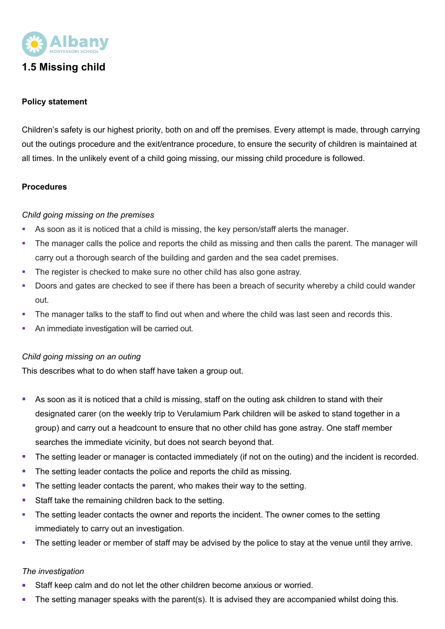

# **1.5 Missing child**

### **Policy statement**

Children's safety is our highest priority, both on and off the premises. Every attempt is made, through carrying out the outings procedure and the exit/entrance procedure, to ensure the security of children is maintained at all times. In the unlikely event of a child going missing, our missing child procedure is followed.

### **Procedures**

### *Child going missing on the premises*

- As soon as it is noticed that a child is missing, the key person/staff alerts the manager.
- The manager calls the police and reports the child as missing and then calls the parent. The manager will carry out a thorough search of the building and garden and the sea cadet premises.
- The register is checked to make sure no other child has also gone astray.
- Doors and gates are checked to see if there has been a breach of security whereby a child could wander out.
- The manager talks to the staff to find out when and where the child was last seen and records this.
- § An immediate investigation will be carried out.

### *Child going missing on an outing*

This describes what to do when staff have taken a group out.

- As soon as it is noticed that a child is missing, staff on the outing ask children to stand with their designated carer (on the weekly trip to Verulamium Park children will be asked to stand together in a group) and carry out a headcount to ensure that no other child has gone astray. One staff member searches the immediate vicinity, but does not search beyond that.
- The setting leader or manager is contacted immediately (if not on the outing) and the incident is recorded.
- The setting leader contacts the police and reports the child as missing.
- The setting leader contacts the parent, who makes their way to the setting.
- Staff take the remaining children back to the setting.
- The setting leader contacts the owner and reports the incident. The owner comes to the setting immediately to carry out an investigation.
- The setting leader or member of staff may be advised by the police to stay at the venue until they arrive.

### *The investigation*

- § Staff keep calm and do not let the other children become anxious or worried.
- The setting manager speaks with the parent(s). It is advised they are accompanied whilst doing this.